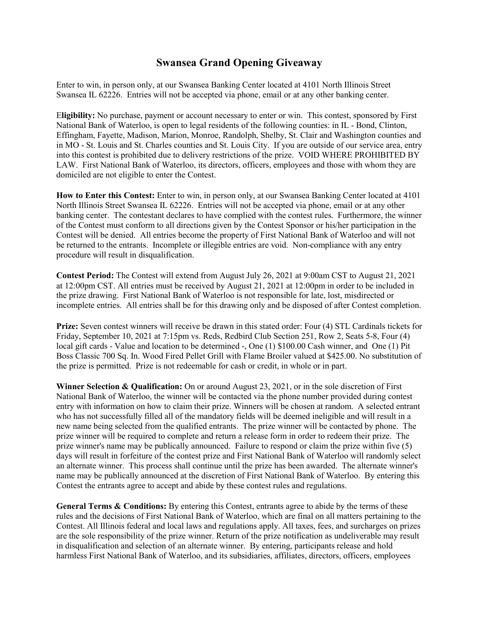## **Swansea Grand Opening Giveaway**

Enter to win, in person only, at our Swansea Banking Center located at 4101 North Illinois Street Swansea IL 62226. Entries will not be accepted via phone, email or at any other banking center.

E**ligibility:** No purchase, payment or account necessary to enter or win. This contest, sponsored by First National Bank of Waterloo, is open to legal residents of the following counties: in IL - Bond, Clinton, Effingham, Fayette, Madison, Marion, Monroe, Randolph, Shelby, St. Clair and Washington counties and in MO - St. Louis and St. Charles counties and St. Louis City. If you are outside of our service area, entry into this contest is prohibited due to delivery restrictions of the prize. VOID WHERE PROHIBITED BY LAW. First National Bank of Waterloo, its directors, officers, employees and those with whom they are domiciled are not eligible to enter the Contest.

**How to Enter this Contest:** Enter to win, in person only, at our Swansea Banking Center located at 4101 North Illinois Street Swansea IL 62226. Entries will not be accepted via phone, email or at any other banking center. The contestant declares to have complied with the contest rules. Furthermore, the winner of the Contest must conform to all directions given by the Contest Sponsor or his/her participation in the Contest will be denied. All entries become the property of First National Bank of Waterloo and will not be returned to the entrants. Incomplete or illegible entries are void. Non-compliance with any entry procedure will result in disqualification.

**Contest Period:** The Contest will extend from August July 26, 2021 at 9:00am CST to August 21, 2021 at 12:00pm CST. All entries must be received by August 21, 2021 at 12:00pm in order to be included in the prize drawing. First National Bank of Waterloo is not responsible for late, lost, misdirected or incomplete entries. All entries shall be for this drawing only and be disposed of after Contest completion.

**Prize:** Seven contest winners will receive be drawn in this stated order: Four (4) STL Cardinals tickets for Friday, September 10, 2021 at 7:15pm vs. Reds, Redbird Club Section 251, Row 2, Seats 5-8, Four (4) local gift cards - Value and location to be determined -, One (1) \$100.00 Cash winner, and One (1) Pit Boss Classic 700 Sq. In. Wood Fired Pellet Grill with Flame Broiler valued at \$425.00. No substitution of the prize is permitted. Prize is not redeemable for cash or credit, in whole or in part.

**Winner Selection & Qualification:** On or around August 23, 2021, or in the sole discretion of First National Bank of Waterloo, the winner will be contacted via the phone number provided during contest entry with information on how to claim their prize. Winners will be chosen at random. A selected entrant who has not successfully filled all of the mandatory fields will be deemed ineligible and will result in a new name being selected from the qualified entrants. The prize winner will be contacted by phone. The prize winner will be required to complete and return a release form in order to redeem their prize. The prize winner's name may be publically announced. Failure to respond or claim the prize within five (5) days will result in forfeiture of the contest prize and First National Bank of Waterloo will randomly select an alternate winner. This process shall continue until the prize has been awarded. The alternate winner's name may be publically announced at the discretion of First National Bank of Waterloo. By entering this Contest the entrants agree to accept and abide by these contest rules and regulations.

General Terms & Conditions: By entering this Contest, entrants agree to abide by the terms of these rules and the decisions of First National Bank of Waterloo, which are final on all matters pertaining to the Contest. All Illinois federal and local laws and regulations apply. All taxes, fees, and surcharges on prizes are the sole responsibility of the prize winner. Return of the prize notification as undeliverable may result in disqualification and selection of an alternate winner. By entering, participants release and hold harmless First National Bank of Waterloo, and its subsidiaries, affiliates, directors, officers, employees